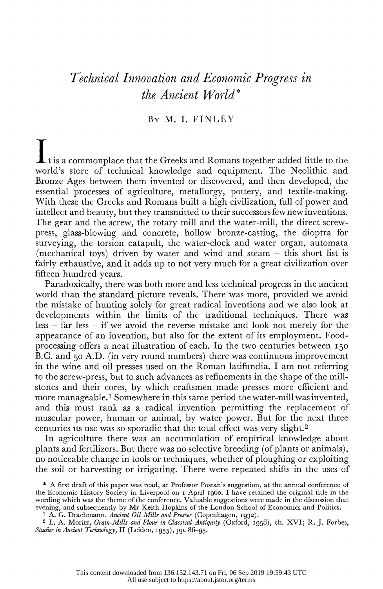## Technical Innovation and Economic Progress in the Ancient World\*

## BY M. I. FINLEY

 $\blacksquare$  t is a commonplace that the Greeks and Romans together added little to the world's store of technical knowledge and equipment. The Neolithic and Bronze Ages between them invented or discovered, and then developed, the essential processes of agriculture, metallurgy, pottery, and textile-making. With these the Greeks and Romans built a high civilization, full of power and intellect and beauty, but they transmitted to their successors few new inventions. The gear and the screw, the rotary mill and the water-mill, the direct screw press, glass-blowing and concrete, hollow bronze-casting, the dioptra for surveying, the torsion catapult, the water-clock and water organ, automata (mechanical toys) driven by water and wind and steam - this short list is fairly exhaustive, and it adds up to not very much for a great civilization over fifteen hundred years.

 Paradoxically, there was both more and less technical progress in the ancient world than the standard picture reveals. There was more, provided we avoid the mistake of hunting solely for great radical inventions and we also look at developments within the limits of the traditional techniques. There was less - far less - if we avoid the reverse mistake and look not merely for the appearance of an invention, but also for the extent of its employment. Food processing offers a neat illustration of each. In the two centuries between I50 B.C. and 50 A.D. (in very round numbers) there was continuous improvement in the wine and oil presses used on the Roman latifundia. I am not referring to the screw-press, but to such advances as refinements in the shape of the mill stones and their cores, by which craftsmen made presses more efficient and more manageable.1 Somewhere in this same period the water-mill was invented, and this must rank as a radical invention permitting the replacement of muscular power, human or animal, by water power. But for the next three centuries its use was so sporadic that the total effect was very slight.2

 In agriculture there was an accumulation of empirical knowledge about plants and fertilizers. But there was no selective breeding (of plants or animals), no noticeable change in tools or techniques, whether of ploughing or exploiting the soil or harvesting or irrigating. There were repeated shifts in the uses of

 <sup>\*</sup> A first draft of this paper was read, at Professor Postan's suggestion, at the annual conference of the Economic History Society in Liverpool on I April i960. I have retained the original title in the wording which was the theme of the conference. Valuable suggestions were made in the discussion that evening, and subsequently by Mr Keith Hopkins of the London School of Economics and Politics.

<sup>&</sup>lt;sup>1</sup> A. G. Drachmann, Ancient Oil Mills and Presses (Copenhagen, 1932).

<sup>&</sup>lt;sup>2</sup> L. A. Moritz, Grain-Mills and Flour in Classical Antiquity (Oxford, 1958), ch. XVI; R. J. Forbes, Studies in Ancient Technology, II (Leiden, 1955), pp. 86-95.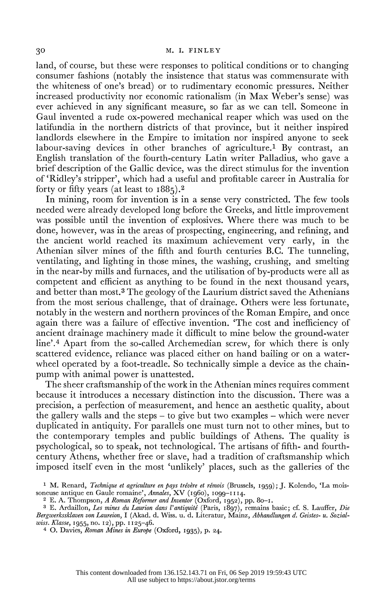land, of course, but these were responses to political conditions or to changing consumer fashions (notably the insistence that status was commensurate with the whiteness of one's bread) or to rudimentary economic pressures. Neither increased productivity nor economic rationalism (in Max Weber's sense) was ever achieved in any significant measure, so far as we can tell. Someone in Gaul invented a rude ox-powered mechanical reaper which was used on the latifundia in the northern districts of that province, but it neither inspired landlords elsewhere in the Empire to imitation nor inspired anyone to seek labour-saving devices in other branches of agriculture.<sup>1</sup> By contrast, an English translation of the fourth-century Latin writer Palladius, who gave a brief description of the Gallic device, was the direct stimulus for the invention of 'Ridley's stripper', which had a useful and profitable career in Australia for forty or fifty years (at least to  $1885$ ).<sup>2</sup>

 In mining, room for invention is in a sense very constricted. The few tools needed were already developed long before the Greeks, and little improvement was possible until the invention of explosives. Where there was much to be done, however, was in the areas of prospecting, engineering, and refining, and the ancient world reached its maximum achievement very early, in the Athenian silver mines of the fifth and fourth centuries B.C. The tunneling, ventilating, and lighting in those mines, the washing, crushing, and smelting in the near-by mills and furnaces, and the utilisation of by-products were all as competent and efficient as anything to be found in the next thousand years, and better than most.3 The geology of the Laurium district saved the Athenians from the most serious challenge, that of drainage. Others were less fortunate, notably in the western and northern provinces of the Roman Empire, and once again there was a failure of effective invention. 'The cost and inefficiency of ancient drainage machinery made it difficult to mine below the ground-water line'.4 Apart from the so-called Archemedian screw, for which there is only scattered evidence, reliance was placed either on hand bailing or on a water wheel operated by a foot-treadle. So technically simple a device as the chain pump with animal power is unattested.

 The sheer craftsmanship of the work in the Athenian mines requires comment because it introduces a necessary distinction into the discussion. There was a precision, a perfection of measurement, and hence an aesthetic quality, about the gallery walls and the steps - to give but two examples - which were never duplicated in antiquity. For parallels one must turn not to other mines, but to the contemporary temples and public buildings of Athens. The quality is psychological, so to speak, not technological. The artisans of fifth- and fourth century Athens, whether free or slave, had a tradition of craftsmanship which imposed itself even in the most 'unlikely' places, such as the galleries of the

<sup>&</sup>lt;sup>1</sup> M. Renard, *Technique et agriculture en pays trévère et rémois* (Brussels, 1959); J. Kolendo, 'La moissoneuse antique en Gaule romaine', Annales, XV (1960), 1099-1114.

<sup>&</sup>lt;sup>2</sup> E. A. Thompson, *A Roman Reformer and Inventor* (Oxford, 1952), pp. 80-1.

<sup>&</sup>lt;sup>3</sup> E. Ardaillon, Les mines du Laurion dans l'antiquité (Paris, 1897), remains basic; cf. S. Lauffer, Die Bergwerkssklaven von Laureion, I (Akad. d. Wiss. u. d. Literatur, Mainz, Abhandlungen d. Geistes- u. Sozial wiss. Klasse, 1955, no. I 2), pp. II 25-46.

 $4\,$  O. Davies, Roman Mines in Europe (Oxford, 1935), p. 24.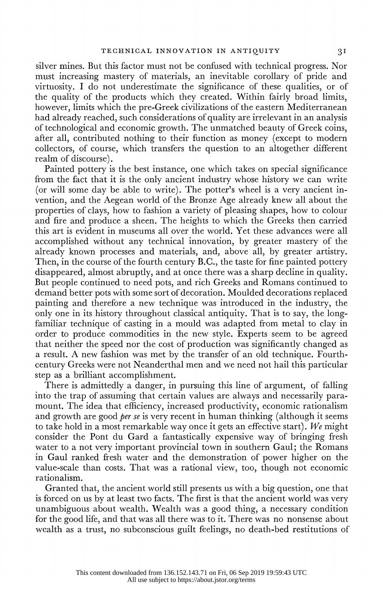silver mines. But this factor must not be confused with technical progress. Nor must increasing mastery of materials, an inevitable corollary of pride and virtuosity. I do not underestimate the significance of these qualities, or of the quality of the products which they created. Within fairly broad limits, however, limits which the pre-Greek civilizations of the eastern Mediterranean had already reached, such considerations of quality are irrelevant in an analysis of technological and economic growth. The unmatched beauty of Greek coins, after all, contributed nothing to their function as money (except to modern collectors, of course, which transfers the question to an altogether different realm of discourse).

 Painted pottery is the best instance, one which takes on special significance from the fact that it is the only ancient industry whose history we can write (or will some day be able to write). The potter's wheel is a very ancient in vention, and the Aegean world of the Bronze Age already knew all about the properties of clays, how to fashion a variety of pleasing shapes, how to colour and fire and produce a sheen. The heights to which the Greeks then carried this art is evident in museums all over the world. Yet these advances were all accomplished without any technical innovation, by greater mastery of the already known processes and materials, and, above all, by greater artistry. Then, in the course of the fourth century B.C., the taste for fine painted pottery disappeared, almost abruptly, and at once there was a sharp decline in quality. But people continued to need pots, and rich Greeks and Romans continued to demand better pots with some sort of decoration. Moulded decorations replaced painting and therefore a new technique was introduced in the industry, the only one in its history throughout classical antiquity. That is to say, the long familiar technique of casting in a mould was adapted from metal to clay in order to produce commodities in the new style. Experts seem to be agreed that neither the speed nor the cost of production was significantly changed as a result. A new fashion was met by the transfer of an old technique. Fourth century Greeks were not Neanderthal men and we need not hail this particular step as a brilliant accomplishment.

 There is admittedly a danger, in pursuing this line of argument, of falling into the trap of assuming that certain values are always and necessarily para mount. The idea that efficiency, increased productivity, economic rationalism and growth are good *per se* is very recent in human thinking (although it seems to take hold in a most remarkable way once it gets an effective start). We might consider the Pont du Gard a fantastically expensive way of bringing fresh water to a not very important provincial town in southern Gaul; the Romans in Gaul ranked fresh water and the demonstration of power higher on the value-scale than costs. That was a rational view, too, though not economic rationalism.

 Granted that, the ancient world still presents us with a big question, one that is forced on us by at least two facts. The first is that the ancient world was very unambiguous about wealth. Wealth was a good thing, a necessary condition for the good life, and that was all there was to it. There was no nonsense about wealth as a trust, no subconscious guilt feelings, no death-bed restitutions of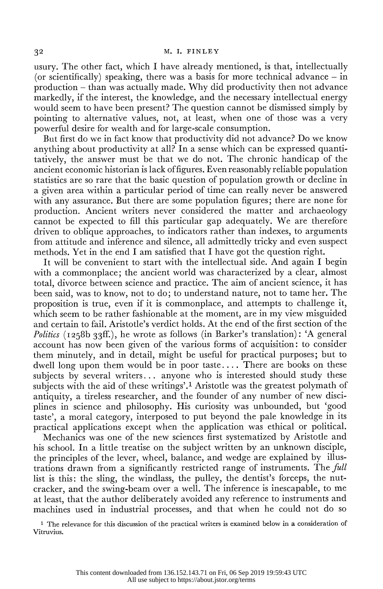usury. The other fact, which I have already mentioned, is that, intellectually (or scientifically) speaking, there was a basis for more technical advance - in production - than was actually made. Why did productivity then not advance markedly, if the interest, the knowledge, and the necessary intellectual energy would seem to have been present? The question cannot be dismissed simply by pointing to alternative values, not, at least, when one of those was a very powerful desire for wealth and for large-scale consumption.

 But first do we in fact know that productivity did not advance? Do we know anything about productivity at all? In a sense which can be expressed quanti tatively, the answer must be that we do not. The chronic handicap of the ancient economic historian is lack of figures. Even reasonably reliable population statistics are so rare that the basic question of population growth or decline in a given area within a particular period of time can really never be answered with any assurance. But there are some population figures; there are none for production. Ancient writers never considered the matter and archaeology cannot be expected to fill this particular gap adequately. We are therefore driven to oblique approaches, to indicators rather than indexes, to arguments from attitude and inference and silence, all admittedly tricky and even suspect methods. Yet in the end I am satisfied that I have got the question right.

 It will be convenient to start with the intellectual side. And again I begin with a commonplace; the ancient world was characterized by a clear, almost total, divorce between science and practice. The aim of ancient science, it has been said, was to know, not to do; to understand nature, not to tame her. The proposition is true, even if it is commonplace, and attempts to challenge it, which seem to be rather fashionable at the moment, are in my view misguided and certain to fail. Aristotle's verdict holds. At the end of the first section of the Politics (1258b 33ff.), he wrote as follows (in Barker's translation): 'A general account has now been given of the various forms of acquisition: to consider them minutely, and in detail, might be useful for practical purposes; but to dwell long upon them would be in poor taste.... There are books on these subjects by several writers... anyone who is interested should study these subjects with the aid of these writings'.1 Aristotle was the greatest polymath of antiquity, a tireless researcher, and the founder of any number of new disci plines in science and philosophy. His curiosity was unbounded, but 'good taste', a moral category, interposed to put beyond the pale knowledge in its practical applications except when the application was ethical or political.

 Mechanics was one of the new sciences first systematized by Aristotle and his school. In a little treatise on the subject written by an unknown disciple, the principles of the lever, wheel, balance, and wedge are explained by illus trations drawn from a significantly restricted range of instruments. The full list is this: the sling, the windlass, the pulley, the dentist's forceps, the nut cracker, and the swing-beam over a well. The inference is inescapable, to me at least, that the author deliberately avoided any reference to instruments and machines used in industrial processes, and that when he could not do so

 1 The relevance for this discussion of the practical writers is examined below in a consideration of Vitruvius.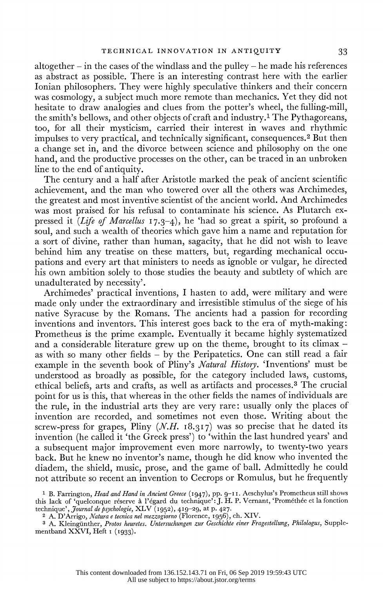altogether - in the cases of the windlass and the pulley - he made his references as abstract as possible. There is an interesting contrast here with the earlier Ionian philosophers. They were highly speculative thinkers and their concern was cosmology, a subject much more remote than mechanics. Yet they did not hesitate to draw analogies and clues from the potter's wheel, the fulling-mill, the smith's bellows, and other objects of craft and industry.<sup>1</sup> The Pythagoreans, too, for all their mysticism, carried their interest in waves and rhythmic impulses to very practical, and technically significant, consequences.2 But then a change set in, and the divorce between science and philosophy on the one hand, and the productive processes on the other, can be traced in an unbroken line to the end of antiquity.

 The century and a half after Aristotle marked the peak of ancient scientific achievement, and the man who towered over all the others was Archimedes, the greatest and most inventive scientist of the ancient world. And Archimedes was most praised for his refusal to contaminate his science. As Plutarch ex pressed it (Life of Marcellus 17.3-4), he 'had so great a spirit, so profound a soul, and such a wealth of theories which gave him a name and reputation for a sort of divine, rather than human, sagacity, that he did not wish to leave behind him any treatise on these matters, but, regarding mechanical occu pations and every art that ministers to needs as ignoble or vulgar, he directed his own ambition solely to those studies the beauty and subtlety of which are unadulterated by necessity'.

 Archimedes' practical inventions, I hasten to add, were military and were made only under the extraordinary and irresistible stimulus of the siege of his native Syracuse by the Romans. The ancients had a passion for recording inventions and inventors. This interest goes back to the era of myth-making: Prometheus is the prime example. Eventually it became highly systematized and a considerable literature grew up on the theme, brought to its climax as with so many other fields - by the Peripatetics. One can still read a fair example in the seventh book of Pliny's Natural History. 'Inventions' must be understood as broadly as possible, for the category included laws, customs, ethical beliefs, arts and crafts, as well as artifacts and processes.3 The crucial point for us is this, that whereas in the other fields the names of individuals are the rule, in the industrial arts they are very rare: usually only the places of invention are recorded, and sometimes not even those. Writing about the screw-press for grapes, Pliny  $(N.H. 18.317)$  was so precise that he dated its invention (he called it 'the Greek press') to 'within the last hundred years' and a subsequent major improvement even more narrowly, to twenty-two years back. But he knew no inventor's name, though he did know who invented the diadem, the shield, music, prose, and the game of ball. Admittedly he could not attribute so recent an invention to Cecrops or Romulus, but he frequently

<sup>&</sup>lt;sup>1</sup> B. Farrington, *Head and Hand in Ancient Greece* (1947), pp. 9–11. Aeschylus's Prometheus still shows this lack of 'quelconque réserve à l'égard du technique': J. H. P. Vernant, 'Prométhée et la fonction

technique', *Journal de psychologie, XLV* (1952), 419–29, at p. 427.<br><sup>2</sup> A. D'Arrigo, *Natura e tecnica nel mezzogiorno* (Florence, 1956), ch. XIV.

 <sup>3</sup> A. Kleingiunther, Protos heuretes. Untersuchungen zur Geschichte einer Fragestellung, Philologus, Supple mentband XXVI, Heft I (1933).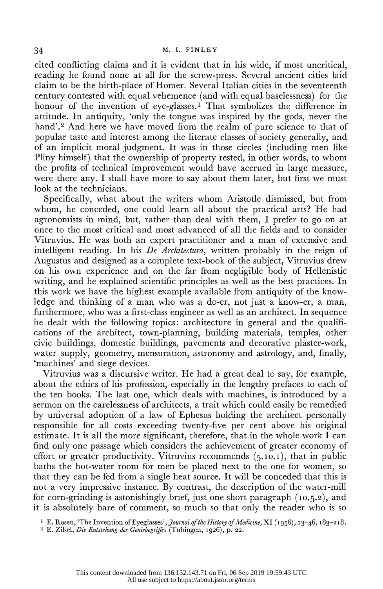cited conflicting claims and it is evident that in his wide, if most uncritical, reading he found none at all for the screw-press. Several ancient cities laid claim to be the birth-place of Homer. Several Italian cities in the seventeenth century contested with equal vehemence (and with equal baselessness) for the honour of the invention of eye-glasses.<sup>1</sup> That symbolizes the difference in attitude. In antiquity, 'only the tongue was inspired by the gods, never the hand'.<sup>2</sup> And here we have moved from the realm of pure science to that of popular taste and interest among the literate classes of society generally, and of an implicit moral judgment. It was in those circles (including men like Pliny himself) that the ownership of property rested, in other words, to whom the profits of technical improvement would have accrued in large measure, were there any. I shall have more to say about them later, but first we must look at the technicians.

 Specifically, what about the writers whom Aristotle dismissed, but from whom, he conceded, one could learn all about the practical arts? He had agronomists in mind, but, rather than deal with them, I prefer to go on at once to the most critical and most advanced of all the fields and to consider Vitruvius. He was both an expert practitioner and a man of extensive and intelligent reading. In his  $De$  Architectura, written probably in the reign of Augustus and designed as a complete text-book of the subject, Vitruvius drew on his own experience and on the far from negligible body of Hellenistic writing, and he explained scientific principles as well as the best practices. In this work we have the highest example available from antiquity of the know ledge and thinking of a man who was a do-er, not just a know-er, a man, furthermore, who was a first-class engineer as well as an architect. In sequence he dealt with the following topics: architecture in general and the qualifi cations of the architect, town-planning, building materials, temples, other civic buildings, domestic buildings, pavements and decorative plaster-work, water supply, geometry, mensuration, astronomy and astrology, and, finally, 'machines' and siege devices.

 Vitruvius was a discursive writer. He had a great deal to say, for example, about the ethics of his profession, especially in the lengthy prefaces to each of the ten books. The last one, which deals with machines, is introduced by a sermon on the carelessness of architects, a trait which could easily be remedied by universal adoption of a law of Ephesus holding the architect personally responsible for all costs exceeding twenty-five per cent above his original estimate. It is all the more significant, therefore, that in the whole work  $\overline{I}$  can find only one passage which considers the achievement of greater economy of effort or greater productivity. Vitruvius recommends  $(5.10.1)$ , that in public baths the hot-water room for men be placed next to the one for women, so that they can be fed from a single heat source. It will be conceded that this is not a very impressive instance. By contrast, the description of the water-mill for corn-grinding is astonishingly brief, just one short paragraph (IO.5.2), and it is absolutely bare of comment, so much so that only the reader who is so

<sup>1</sup> E. Rosen, 'The Invention of Eyeglasses', *Journal of the History of Medicine*, XI (1956), 13-46, 183-218.

<sup>2</sup> E. Zilsel, Die Entstehung des Geniebegriffes (Tübingen, 1926), p. 22.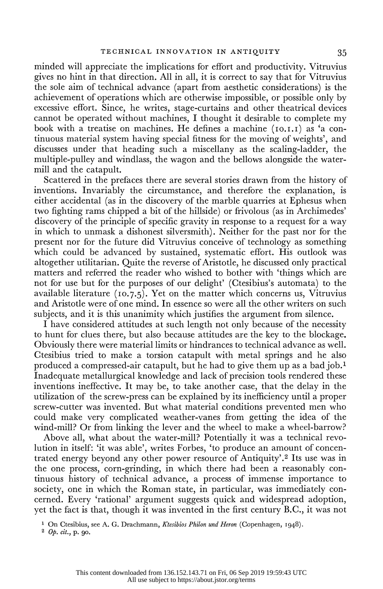minded will appreciate the implications for effort and productivity. Vitruvius gives no hint in that direction. All in all, it is correct to say that for Vitruvius the sole aim of technical advance (apart from aesthetic considerations) is the achievement of operations which are otherwise impossible, or possible only by excessive effort. Since, he writes, stage-curtains and other theatrical devices cannot be operated without machines, I thought it desirable to complete my book with a treatise on machines. He defines a machine  $(10.1.1)$  as 'a con tinuous material system having special fitness for the moving of weights', and discusses under that heading such a miscellany as the scaling-ladder, the multiple-pulley and windlass, the wagon and the bellows alongside the water mill and the catapult.

 Scattered in the prefaces there are several stories drawn from the history of inventions. Invariably the circumstance, and therefore the explanation, is either accidental (as in the discovery of the marble quarries at Ephesus when two fighting rams chipped a bit of the hillside) or frivolous (as in Archimedes' discovery of the principle of specific gravity in response to a request for a way in which to unmask a dishonest silversmith). Neither for the past nor for the present nor for the future did Vitruvius conceive of technology as something which could be advanced by sustained, systematic effort. His outlook was altogether utilitarian. Quite the reverse of Aristotle, he discussed only practical matters and referred the reader who wished to bother with 'things which are not for use but for the purposes of our delight' (Ctesibius's automata) to the available literature  $(10.7.5)$ . Yet on the matter which concerns us, Vitruvius and Aristotle were of one mind. In essence so were all the other writers on such subjects, and it is this unanimity which justifies the argument from silence.

 I have considered attitudes at such length not only because of the necessity to hunt for clues there, but also because attitudes are the key to the blockage. Obviously there were material limits or hindrances to technical advance as well. Ctesibius tried to make a torsion catapult with metal springs and he also produced a compressed-air catapult, but he had to give them up as a bad job.1 Inadequate metallurgical knowledge and lack of precision tools rendered these inventions ineffective. It may be, to take another case, that the delay in the utilization of the screw-press can be explained by its inefficiency until a proper screw-cutter was invented. But what material conditions prevented men who could make very complicated weather-vanes from getting the idea of the wind-mill? Or from linking the lever and the wheel to make a wheel-barrow?

 Above all, what about the water-mill? Potentially it was a technical revo lution in itself: 'it was able', writes Forbes, 'to produce an amount of concen trated energy beyond any other power resource of Antiquity'.2 Its use was in the one process, corn-grinding, in which there had been a reasonably con' tinuous history of technical advance, a process of immense importance to society, one in which the Roman state, in particular, was immediately con cerned. Every 'rational' argument suggests quick and widespread adoption, yet the fact is that, though it was invented in the first century B.C., it was not

<sup>1</sup> On Ctesibius, see A. G. Drachmann, Ktesibios Philon und Heron (Copenhagen, 1948).

 $2$  Op. cit., p. 90.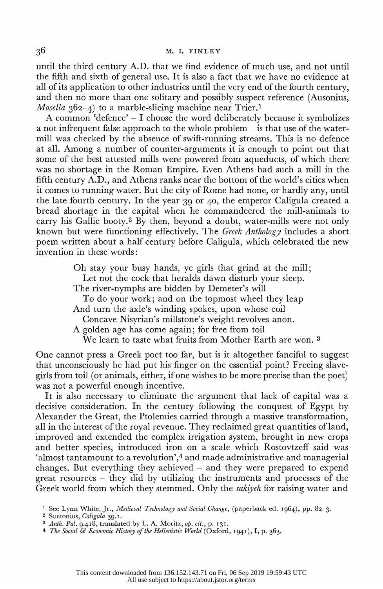until the third century A.D. that we find evidence of much use, and not until the fifth and sixth of general use. It is also a fact that we have no evidence at all of its application to other industries until the very end of the fourth century, and then no more than one solitary and possibly suspect reference (Ausonius, *Mosella*  $362-4$ ) to a marble-slicing machine near Trier.<sup>1</sup>

 A common 'defence' - I choose the word deliberately because it symbolizes a not infrequent false approach to the whole problem - is that use of the water mill was checked by the absence of swift-running streams. This is no defence at all. Among a number of counter-arguments it is enough to point out that some of the best attested mills were powered from aqueducts, of which there was no shortage in the Roman Empire. Even Athens had such a mill in the fifth century A.D., and Athens ranks near the bottom of the world's cities when it comes to running water. But the city of Rome had none, or hardly any, until the late fourth century. In the year 39 or 40, the emperor Caligula created a bread shortage in the capital when he commandeered the mill-animals to carry his Gallic booty.2 By then, beyond a doubt, water-mills were not only known but were functioning effectively. The Greek Anthology includes a short poem written about a half century before Caligula, which celebrated the new invention in these words:

Oh stay your busy hands, ye girls that grind at the mill;

Let not the cock that heralds dawn disturb your sleep.

The river-nymphs are bidden by Demeter's will

To do your work; and on the topmost wheel they leap

And turn the axle's winding spokes, upon whose coil

Concave Nisyrian's millstone's weight revolves anon.

A golden age has come again; for free from toil

We learn to taste what fruits from Mother Earth are won. <sup>3</sup>

 One cannot press a Greek poet too far, but is it altogether fanciful to suggest that unconsciously he had put his finger on the essential point? Freeing slave girls from toil (or animals, either, if one wishes to be more precise than the poet) was not a powerful enough incentive.

 It is also necessary to eliminate the argument that lack of capital was a decisive consideration. In the century following the conquest of Egypt by Alexander the Great, the Ptolemies carried through a massive transformation, all in the interest of the royal revenue. They reclaimed great quantities of land, improved and extended the complex irrigation system, brought in new crops and better species, introduced iron on a scale which Rostovtzeff said was 'almost tantamount to a revolution',<sup>4</sup> and made administrative and managerial changes. But everything they achieved - and they were prepared to expend great resources - they did by utilizing the instruments and processes of the Greek world from which they stemmed. Only the *sakiyeh* for raising water and

<sup>&</sup>lt;sup>1</sup> See Lynn White, Jr., Medieval Technology and Social Change, (paperback ed. 1964), pp. 82-3.

<sup>&</sup>lt;sup>2</sup> Suetonius, Caligula 39.1.

 $3$  Anth. Pal.  $9.418$ , translated by L. A. Moritz,  $op. cit., p. 131$ .

 $4$  The Social & Economic History of the Hellenistic World (Oxford, 1941), I, p. 363.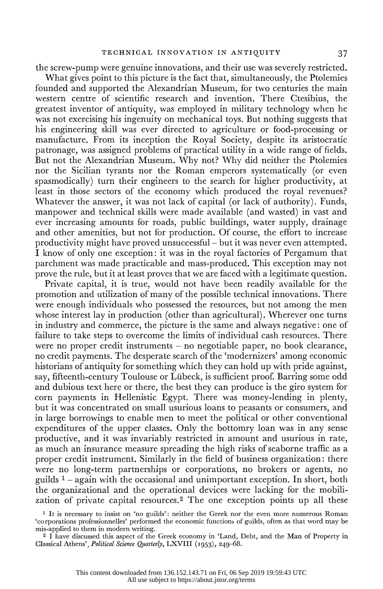the screw-pump were genuine innovations, and their use was severely restricted.

where pump were genuine innovations, and their use was severely restricted. What gives point to this picture is the fact that, simultaneously, the Ptolemies founded and supported the Alexandrian Museum, for two centuries the main rounded and supported the Alexandrian Museum, for two centuries the main western tenut or selement research and invention. There elesions, and greatest inventor of antiquity, was employed in military technology when he was not exercising his ingenuity on mechanical toys. But nothing suggests that his engineering skill was ever directed to agriculture or food-processing or manufacture. From its inception the Royal Society, despite its aristocratic patronage, was assigned problems of practical utility in a wide range of fields. But not the Alexandrian Museum. Why not? Why did neither the Ptolemies nor the Sicilian tyrants nor the Roman emperors systematically (or even not the situali tyrants not the Roman emperors systematically (or even spasmourcany) turn then engineers to the search for inglier productivity, at least in those sectors of the economy which produced the royal revenues? Whatever the answer, it was not lack of capital (or lack of authority). Funds, manpower and technical skills were made available (and wasted) in vast and ever increasing amounts for roads, public buildings, water supply, drainage and other amenities, but not for production. Of course, the effort to increase productivity might have proved unsuccessful – but it was never even attempted. I know of only one exception: it was in the royal factories of Pergamum that parchment was made practicable and mass-produced. This exception may not prove the rule, but it at least proves that we are faced with a legitimate question.

Private capital, it is true, would not have been readily available for the promotion and utilization of many of the possible technical innovations. There were enough individuals who possessed the resources, but not among the men whose interest lay in production (other than agricultural). Wherever one turns in industry and commerce, the picture is the same and always negative: one of failure to take steps to overcome the limits of individual cash resources. There were no proper credit instruments  $-$  no negotiable paper, no book clearance, ho credit payments. The desperate search of the 'modernizers' among economic historians of antiquity for something which they can hold up with pride against, say, fifteenth-century Toulouse or Lübeck, is sufficient proof. Barring some odd and dubious text here or there, the best they can produce is the giro system for corn payments in Hellenistic Egypt. There was money-lending in plenty, but it was concentrated on small usurious loans to peasants or consumers, and in large borrowings to enable men to meet the political or other conventional expenditures of the upper classes. Only the bottomry loan was in any sense productive, and it was invariably restricted in amount and usurious in rate, as much an insurance measure spreading the high risks of seaborne traffic as a proper credit instrument. Similarly in the field of business organization: there were no long-term partnerships or corporations, no brokers or agents, no guilds  $1$  – again with the occasional and unimportant exception. In short, both the organizational and the operational devices were lacking for the mobilization of private capital resources.<sup>2</sup> The one exception points up all these

<sup>&</sup>lt;sup>1</sup> It is necessary to insist on 'no guilds': neither the Greek nor the even more numerous Roman 'corporations professionnelles' performed the economic functions of guilds, often as that word may be mis-applied to them in modern writing.

<sup>&</sup>lt;sup>2</sup> I have discussed this aspect of the Greek economy in 'Land, Debt, and the Man of Property in Classical Athens', *Political Science Quarterly*, LXVIII (1953), 249–68.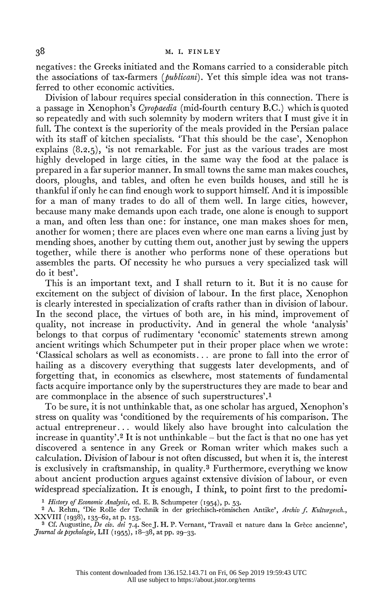negatives: the Greeks initiated and the Romans carried to a considerable pitch the associations of tax-farmers (*publicani*). Yet this simple idea was not transferred to other economic activities.

 Division of labour requires special consideration in this connection. There is a passage in Xenophon's Cyropaedia (mid-fourth century B.C.) which is quoted so repeatedly and with such solemnity by modern writers that I must give it in full. The context is the superiority of the meals provided in the Persian palace with its staff of kitchen specialists. 'That this should be the case', Xenophon explains (8.2.5), 'is not remarkable. For just as the various trades are most highly developed in large cities, in the same way the food at the palace is prepared in a far superior manner. In small towns the same man makes couches, doors, ploughs, and tables, and often he even builds houses, and still he is thankful if only he can find enough work to support himself. And it is impossible for a man of many trades to do all of them well. In large cities, however, because many make demands upon each trade, one alone is enough to support a man, and often less than one: for instance, one man makes shoes for men, another for women; there are places even where one man earns a living just by mending shoes, another by cutting them out, another just by sewing the uppers together, while there is another who performs none of these operations but assembles the parts. Of necessity he who pursues a very specialized task will do it best'.

 This is an important text, and I shall return to it. But it is no cause for excitement on the subject of division of labour. In the first place, Xenophon is clearly interested in specialization of crafts rather than in division of labour. In the second place, the virtues of both are, in his mind, improvement of quality, not increase in productivity. And in general the whole 'analysis' belongs to that corpus of rudimentary 'economic' statements strewn among ancient writings which Schumpeter put in their proper place when we wrote: 'Classical scholars as well as economists. . . are prone to fall into the error of hailing as a discovery everything that suggests later developments, and of forgetting that, in economics as elsewhere, most statements of fundamental facts acquire importance only by the superstructures they are made to bear and are commonplace in the absence of such superstructures'.1

 To be sure, it is not unthinkable that, as one scholar has argued, Xenophon's stress on quality was 'conditioned by the requirements of his comparison. The actual entrepreneur... would likely also have brought into calculation the increase in quantity'.<sup>2</sup> It is not unthinkable – but the fact is that no one has yet discovered a sentence in any Greek or Roman writer which makes such a calculation. Division of labour is not often discussed, but when it is, the interest is exclusively in craftsmanship, in quality.3 Furthermore, everything we know about ancient production argues against extensive division of labour, or even widespread specialization. It is enough, I think, to point first to the predomi-

<sup>&</sup>lt;sup>1</sup> History of Economic Analysis, ed. E. B. Schumpeter (1954), p. 53.

<sup>&</sup>lt;sup>2</sup> A. Rehm, 'Die Rolle der Technik in der griechisch-römischen Antike', Archiv f. Kulturgesch., XXVIII (1938), 135–62, at p. 153.

<sup>&</sup>lt;sup>3</sup> Cf. Augustine, De civ. dei 7.4. See J. H. P. Vernant, 'Travail et nature dans la Grèce ancienne', Journal de psychologie, LII (1955),  $18-38$ , at pp. 29-33.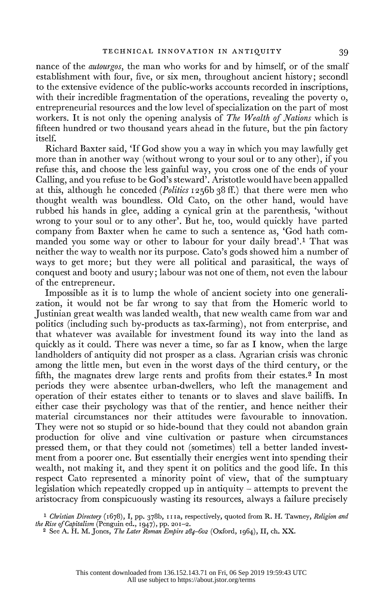nance of the *autourgos*, the man who works for and by himself, or of the smalf establishment with four, five, or six men, throughout ancient history; second to the extensive evidence of the public-works accounts recorded in inscriptions, with their incredible fragmentation of the operations, revealing the poverty o, entrepreneurial resources and the low level of specialization on the part of most workers. It is not only the opening analysis of The Wealth of Nations which is fifteen hundred or two thousand years ahead in the future, but the pin factory itself.

 Richard Baxter said, 'If God show you a way in which you may lawfully get more than in another way (without wrong to your soul or to any other), if you refuse this, and choose the less gainful way, you cross one of the ends of your Calling, and you refuse to be God's steward'. Aristotle would have been appalled at this, although he conceded (*Politics* 1256b 38 ff.) that there were men who thought wealth was boundless. Old Cato, on the other hand, would have rubbed his hands in glee, adding a cynical grin at the parenthesis, 'without wrong to your soul or to any other'. But he, too, would quickly have parted company from Baxter when he came to such a sentence as, 'God hath com manded you some way or other to labour for your daily bread'.1 That was neither the way to wealth nor its purpose. Cato's gods showed him a number of ways to get more; but they were all political and parasitical, the ways of conquest and booty and usury; labour was not one of them, not even the labour of the entrepreneur.

 Impossible as it is to lump the whole of ancient society into one generali zation, it would not be far wrong to say that from the Homeric world to Justinian great wealth was landed wealth, that new wealth came from war and politics (including such by-products as tax-farming), not from enterprise, and that whatever was available for investment found its way into the land as quickly as it could. There was never a time, so far as I know, when the large landholders of antiquity did not prosper as a class. Agrarian crisis was chronic among the little men, but even in the worst days of the third century, or the fifth, the magnates drew large rents and profits from their estates.2 In most periods they were absentee urban-dwellers, who left the management and operation of their estates either to tenants or to slaves and slave bailiffs. In either case their psychology was that of the rentier, and hence neither their material circumstances nor their attitudes were favourable to innovation. They were not so stupid or so hide-bound that they could not abandon grain production for olive and vine cultivation or pasture when circumstances pressed them, or that they could not (sometimes) tell a better landed invest ment from a poorer one. But essentially their energies went into spending their wealth, not making it, and they spent it on politics and the good life. In this respect Cato represented a minority point of view, that of the sumptuary legislation which repeatedly cropped up in antiquity - attempts to prevent the aristocracy from conspicuously wasting its resources, always a failure precisely

<sup>1</sup> Christian Directory (1678), I, pp. 378b, 111a, respectively, quoted from R. H. Tawney, Religion and the Rise of Capitalism (Penguin ed., 1947), pp. 201–2.<br><sup>2</sup> See A. H. M. Jones, *The Later Roman Empire 284–602* (Oxford, 1964), II, ch. XX.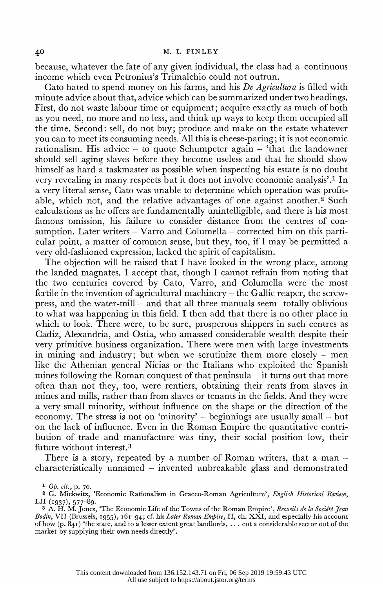## 40 M. I. FINLEY

 because, whatever the fate of any given individual, the class had a continuous income which even Petronius's Trimalchio could not outrun.

Cato hated to spend money on his farms, and his  $De$  Agricultura is filled with minute advice about that, advice which can be summarized under two headings. First, do not waste labour time or equipment; acquire exactly as much of both as you need, no more and no less, and think up ways to keep them occupied all the time. Second: sell, do not buy; produce and make on the estate whatever you can to meet its consuming needs. All this is cheese-paring; it is not economic rationalism. His advice  $-$  to quote Schumpeter again  $-$  'that the landowner should sell aging slaves before they become useless and that he should show himself as hard a taskmaster as possible when inspecting his estate is no doubt very revealing in many respects but it does not involve economic analysis'.1 In a very literal sense, Cato was unable to determine which operation was profit able, which not, and the relative advantages of one against another.<sup>2</sup> Such calculations as he offers are fundamentally unintelligible, and there is his most famous omission, his failure to consider distance from the centres of con sumption. Later writers - Varro and Columella - corrected him on this parti cular point, a matter of common sense, but they, too, if I may be permitted a very old-fashioned expression, lacked the spirit of capitalism.

The objection will be raised that I have looked in the wrong place, among the landed magnates. I accept that, though I cannot refrain from noting that the two centuries covered by Cato, Varro, and Columella were the most fertile in the invention of agricultural machinery - the Gallic reaper, the screw press, and the water-mill - and that all three manuals seem totally oblivious to what was happening in this field. I then add that there is no other place in which to look. There were, to be sure, prosperous shippers in such centres as Cadiz, Alexandria, and Ostia, who amassed considerable wealth despite their very primitive business organization. There were men with large investments in mining and industry; but when we scrutinize them more closely  $-$  men like the Athenian general Nicias or the Italians who exploited the Spanish mines following the Roman conquest of that peninsula  $-$  it turns out that more often than not they, too, were rentiers, obtaining their rents from slaves in mines and mills, rather than from slaves or tenants in the fields. And they were a very small minority, without influence on the shape or the direction of the economy. The stress is not on 'minority' - beginnings are usually small - but on the lack of influence. Even in the Roman Empire the quantitative contri bution of trade and manufacture was tiny, their social position low, their future without interest.3

There is a story, repeated by a number of Roman writers, that a man – characteristically unnamed - invented unbreakable glass and demonstrated

<sup>1</sup> *Op. cit.*, p. 70.<br>2 G. Mickwitz, 'Economic Rationalism in Graeco-Roman Agriculture', *English Historical Review,* LII (I937), 577-89.

<sup>&</sup>lt;sup>3</sup> A. H. M. Jones, 'The Economic Life of the Towns of the Roman Empire', Recueils de la Societe Jean Bodin, VII (Brussels, 1955), 161-94; cf. his Later Roman Empire, II, ch. XXI, and especially his account of how (p. 84 ) 'the state, and to a lesser extent great landlords, . . . cut a considerable sector out of the market by supplying their own needs directly'.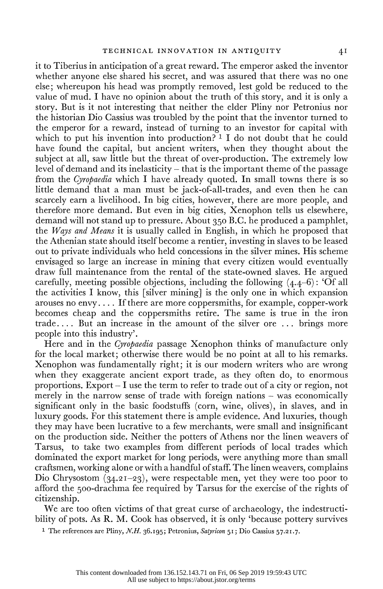it to Tiberius in anticipation of a great reward. The emperor asked the inventor whether anyone else shared his secret, and was assured that there was no one else; whereupon his head was promptly removed, lest gold be reduced to the value of mud. I have no opinion about the truth of this story, and it is only a story. But is it not interesting that neither the elder Pliny nor Petronius nor the historian Dio Cassius was troubled by the point that the inventor turned to the emperor for a reward, instead of turning to an investor for capital with which to put his invention into production?  $1$  I do not doubt that he could have found the capital, but ancient writers, when they thought about the subject at all, saw little but the threat of over-production. The extremely low level of demand and its inelasticity – that is the important theme of the passage from the Cyropaedia which I have already quoted. In small towns there is so little demand that a man must be jack-of-all-trades, and even then he can scarcely earn a livelihood. In big cities, however, there are more people, and therefore more demand. But even in big cities, Xenophon tells us elsewhere, demand will not stand up to pressure. About 350 B.C. he produced a pamphlet, the *Ways and Means* it is usually called in English, in which he proposed that the Athenian state should itself become a rentier, investing in slaves to be leased out to private individuals who held concessions in the silver mines. His scheme envisaged so large an increase in mining that every citizen would eventually draw full maintenance from the rental of the state-owned slaves. He argued carefully, meeting possible objections, including the following  $(4.4-6)$ : 'Of all the activities I know, this [silver mining] is the only one in which expansion arouses no envy.... If there are more coppersmiths, for example, copper-work becomes cheap and the coppersmiths retire. The same is true in the iron trade.... But an increase in the amount of the silver ore ... brings more people into this industry'.

Here and in the Cyropaedia passage Xenophon thinks of manufacture only for the local market; otherwise there would be no point at all to his remarks. Xenophon was fundamentally right; it is our modern writers who are wrong when they exaggerate ancient export trade, as they often do, to enormous proportions. Export - I use the term to refer to trade out of a city or region, not merely in the narrow sense of trade with foreign nations – was economically significant only in the basic foodstuffs (corn, wine, olives), in slaves, and in luxury goods. For this statement there is ample evidence. And luxuries, though they may have been lucrative to a few merchants, were small and insignificant on the production side. Neither the potters of Athens nor the linen weavers of Tarsus, to take two examples from different periods of local trades which dominated the export market for long periods, were anything more than small craftsmen, working alone or with a handful of staff. The linen weavers, complains Dio Chrysostom  $(34.21-23)$ , were respectable men, yet they were too poor to afford the 5oo-drachma fee required by Tarsus for the exercise of the rights of citizenship.

 We are too often victims of that great curse of archaeology, the indestructi bility of pots. As R. M. Cook has observed, it is only 'because pottery survives

<sup>1</sup> The references are Pliny, N.H. 36.195; Petronius, Satyricon 51; Dio Cassius 57.21.7.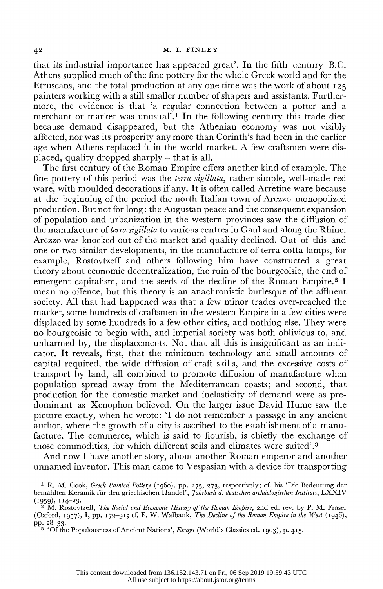that its industrial importance has appeared great'. In the fifth century B.C. Athens supplied much of the fine pottery for the whole Greek world and for the Etruscans, and the total production at any one time was the work of about I25 painters working with a still smaller number of shapers and assistants. Further more, the evidence is that 'a regular connection between a potter and a merchant or market was unusual'.1 In the following century this trade died because demand disappeared, but the Athenian economy was not visibly affected, nor was its prosperity any more than Corinth's had been in the earlier age when Athens replaced it in the world market. A few craftsmen were dis placed, quality dropped sharply - that is all.

 The first century of the Roman Empire offers another kind of example. The fine pottery of this period was the *terra sigillata*, rather simple, well-made red ware, with moulded decorations if any. It is often called Arretine ware because at the beginning of the period the north Italian town of Arezzo monopolized production. But not for long: the Augustan peace and the consequent expansion of population and urbanization in the western provinces saw the diffusion of the manufacture of terra sigillata to various centres in Gaul and along the Rhine. Arezzo was knocked out of the market and quality declined. Out of this and one or two similar developments, in the manufacture of terra cotta lamps, for example, Rostovtzeff and others following him have constructed a great theory about economic decentralization, the ruin of the bourgeoisie, the end of emergent capitalism, and the seeds of the decline of the Roman Empire.<sup>2</sup> I mean no offence, but this theory is an anachronistic burlesque of the affluent society. All that had happened was that a few minor trades over-reached the market, some hundreds of craftsmen in the western Empire in a few cities were displaced by some hundreds in a few other cities, and nothing else. They were no bourgeoisie to begin with, and imperial society was both oblivious to, and unharmed by, the displacements. Not that all this is insignificant as an indi cator. It reveals, first, that the minimum technology and small amounts of capital required, the wide diffusion of craft skills, and the excessive costs of transport by land, all combined to promote diffusion of manufacture when population spread away from the Mediterranean coasts; and second, that production for the domestic market and inelasticity of demand were as pre dominant as Xenophon believed. On the larger issue David Hume saw the picture exactly, when he wrote: 'I do not remember a passage in any ancient author, where the growth of a city is ascribed to the establishment of a manu facture. The commerce, which is said to flourish, is chiefly the exchange of those commodities, for which different soils and climates were suited'.3

 And now I have another story, about another Roman emperor and another unnamed inventor. This man came to Vespasian with a device for transporting

<sup>&</sup>lt;sup>1</sup> R. M. Cook, *Greek Painted Pottery* (1960), pp. 275, 273, respectively; cf. his 'Die Bedeutung der bemahlten Keramik für den griechischen Handel', *Jahrbuch d. deutschen archäologischen Instituts*, LXXIV

<sup>(1959), 114–23.&</sup>lt;br><sup>2</sup> M. Rostovtzeff, *The Social and Economic History of the Roman Empire*, 2nd ed. rev. by P. M. Fraser (Oxford, 1957), 1, pp. 172–91; cf. F. W. Walbank, The Decline of the Roman Empire in the West (1946),

pp. 28–33.<br><sup>3</sup> 'Of the Populousness of Ancient Nations', *Essays* (World's Classics ed. 1903), p. 415.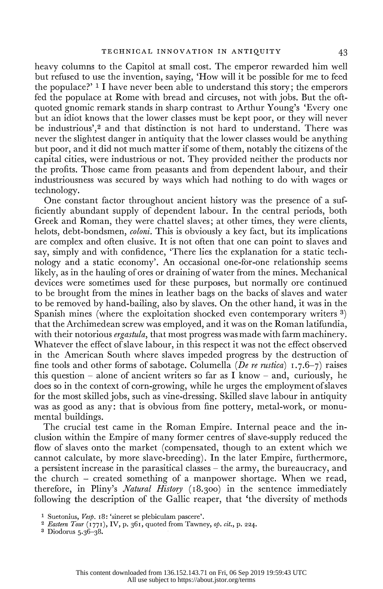heavy columns to the Capitol at small cost. The emperor rewarded him well but refused to use the invention, saying, 'How will it be possible for me to feed the populace?<sup> $\frac{1}{1}$ </sup> I have never been able to understand this story; the emperors fed the populace at Rome with bread and circuses, not with jobs. But the oft quoted gnomic remark stands in sharp contrast to Arthur Young's 'Every one but an idiot knows that the lower classes must be kept poor, or they will never be industrious',<sup>2</sup> and that distinction is not hard to understand. There was never the slightest danger in antiquity that the lower classes would be anything but poor, and it did not much matter if some of them, notably the citizens of the capital cities, were industrious or not. They provided neither the products nor the profits. Those came from peasants and from dependent labour, and their industriousness was secured by ways which had nothing to do with wages or technology.

 One constant factor throughout ancient history was the presence of a suf ficiently abundant supply of dependent labour. In the central periods, both Greek and Roman, they were chattel slaves; at other times, they were clients, helots, debt-bondsmen, *coloni*. This is obviously a key fact, but its implications are complex and often elusive. It is not often that one can point to slaves and say, simply and with confidence, 'There lies the explanation for a static tech nology and a static economy'. An occasional one-for-one relationship seems likely, as in the hauling of ores or draining of water from the mines. Mechanical devices were sometimes used for these purposes, but normally ore continued to be brought from the mines in leather bags on the backs of slaves and water to be removed by hand-bailing, also by slaves. On the other hand, it was in the Spanish mines (where the exploitation shocked even contemporary writers 3) that the Archimedean screw was employed, and it was on the Roman latifundia, with their notorious *ergastula*, that most progress was made with farm machinery. Whatever the effect of slave labour, in this respect it was not the effect observed in the American South where slaves impeded progress by the destruction of fine tools and other forms of sabotage. Columella (De re rustica)  $1.7.6-7$ ) raises this question – alone of ancient writers so far as I know – and, curiously, he does so in the context of corn-growing, while he urges the employment of slaves for the most skilled jobs, such as vine-dressing. Skilled slave labour in antiquity was as good as any: that is obvious from fine pottery, metal-work, or monu mental buildings.

 The crucial test came in the Roman Empire. Internal peace and the in clusion within the Empire of many former centres of slave-supply reduced the flow of slaves onto the market (compensated, though to an extent which we cannot calculate, by more slave-breeding). In the later Empire, furthermore, a persistent increase in the parasitical classes - the army, the bureaucracy, and the church - created something of a manpower shortage. When we read, therefore, in Pliny's Natural History (18.300) in the sentence immediately following the description of the Gallic reaper, that 'the diversity of methods

3 Diodorus 5.36-38.

 <sup>1</sup> Suetonius, Vesp. i8: 'sineret se plebiculam pascere'.

<sup>&</sup>lt;sup>2</sup> Eastern Tour (1771), IV, p. 361, quoted from Tawney, op. cit., p. 224.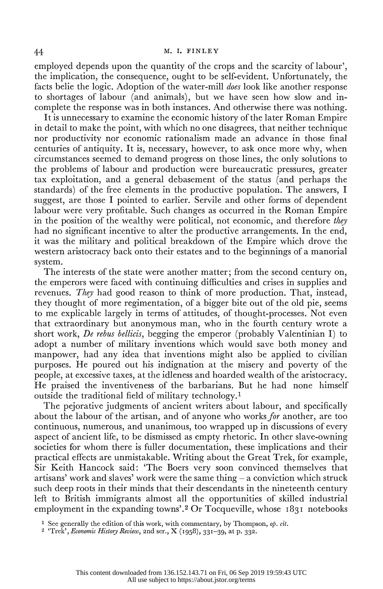employed depends upon the quantity of the crops and the scarcity of labour', the implication, the consequence, ought to be self-evident. Unfortunately, the facts belie the logic. Adoption of the water-mill *does* look like another response to shortages of labour (and animals), but we have seen how slow and in complete the response was in both instances. And otherwise there was nothing.

 It is unnecessary to examine the economic history of the later Roman Empire in detail to make the point, with which no one disagrees, that neither technique nor productivity nor economic rationalism made an advance in those final centuries of antiquity. It is, necessary, however, to ask once more why, when circumstances seemed to demand progress on those lines, the only solutions to the problems of labour and production were bureaucratic pressures, greater tax exploitation, and a general debasement of the status (and perhaps the standards) of the free elements in the productive population. The answers, I suggest, are those I pointed to earlier. Servile and other forms of dependent labour were very profitable. Such changes as occurred in the Roman Empire in the position of the wealthy were political, not economic, and therefore they had no significant incentive to alter the productive arrangements. In the end, it was the military and political breakdown of the Empire which drove the western aristocracy back onto their estates and to the beginnings of a manorial system.

 The interests of the state were another matter; from the second century on, the emperors were faced with continuing difficulties and crises in supplies and revenues. They had good reason to think of more production. That, instead, they thought of more regimentation, of a bigger bite out of the old pie, seems to me explicable largely in terms of attitudes, of thought-processes. Not even that extraordinary but anonymous man, who in the fourth century wrote a short work, *De rebus bellicis*, begging the emperor (probably Valentinian I) to adopt a number of military inventions which would save both money and manpower, had any idea that inventions might also be applied to civilian purposes. He poured out his indignation at the misery and poverty of the people, at excessive taxes, at the idleness and hoarded wealth of the aristocracy. He praised the inventiveness of the barbarians. But he had none himself outside the traditional field of military technology.1

 The pejorative judgments of ancient writers about labour, and specifically about the labour of the artisan, and of anyone who works for another, are too continuous, numerous, and unanimous, too wrapped up in discussions of every aspect of ancient life, to be dismissed as empty rhetoric. In other slave-owning societies for whom there is fuller documentation, these implications and their practical effects are unmistakable. Writing about the Great Trek, for example, Sir Keith Hancock said: 'The Boers very soon convinced themselves that artisans' work and slaves' work were the same thing - a conviction which struck such deep roots in their minds that their descendants in the nineteenth century left to British immigrants almost all the opportunities of skilled industrial employment in the expanding towns'.<sup>2</sup> Or Tocqueville, whose 1831 notebooks

<sup>&</sup>lt;sup>1</sup> See generally the edition of this work, with commentary, by Thompson,  $\phi$ *p*. *cit*.

<sup>&</sup>lt;sup>2</sup> 'Trek', Economic History Review, 2nd ser., X (1958), 331-39, at p. 332.